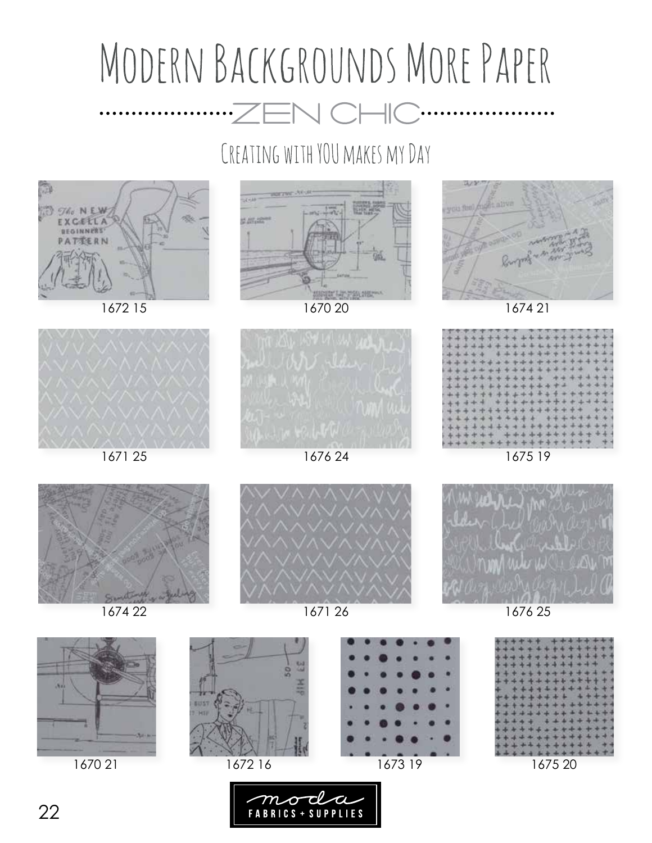## MODERN BACKGROUNDS MORE PAPER 110  $\bullet$

## CREATING WITH YOU MAKES MY DAY



1672 15



1670 20



1674 21



1675 19





1674 22





1671 26



1676 25



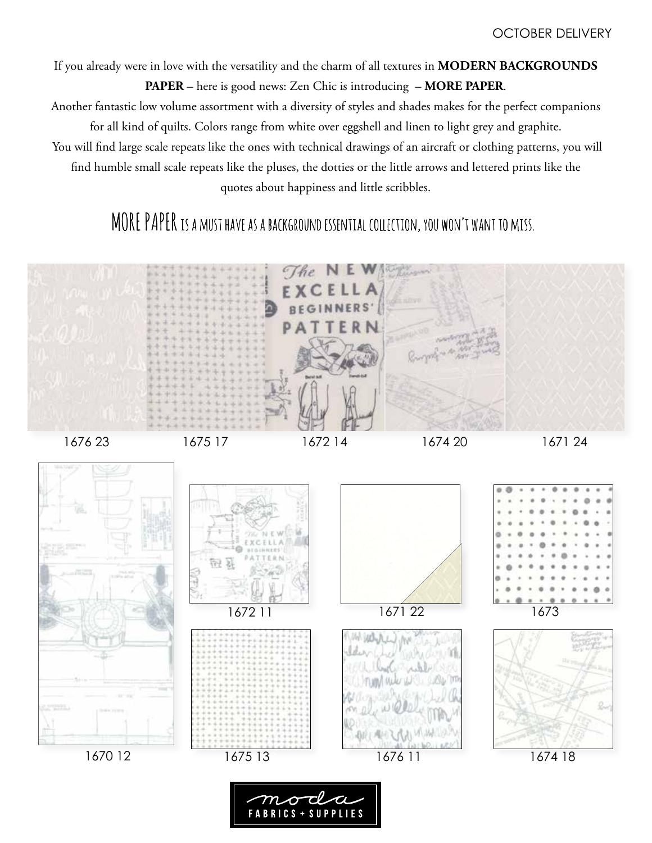If you already were in love with the versatility and the charm of all textures in **MODERN BACKGROUNDS** 

**PAPER** – here is good news: Zen Chic is introducing – **MORE PAPER**.

Another fantastic low volume assortment with a diversity of styles and shades makes for the perfect companions for all kind of quilts. Colors range from white over eggshell and linen to light grey and graphite.

 You will find large scale repeats like the ones with technical drawings of an aircraft or clothing patterns, you will find humble small scale repeats like the pluses, the dotties or the little arrows and lettered prints like the quotes about happiness and little scribbles.

## MORE PAPER IS A MUST HAVE AS A BACKGROUND ESSENTIAL COLLECTION, YOU WON'T WANT TO MISS.